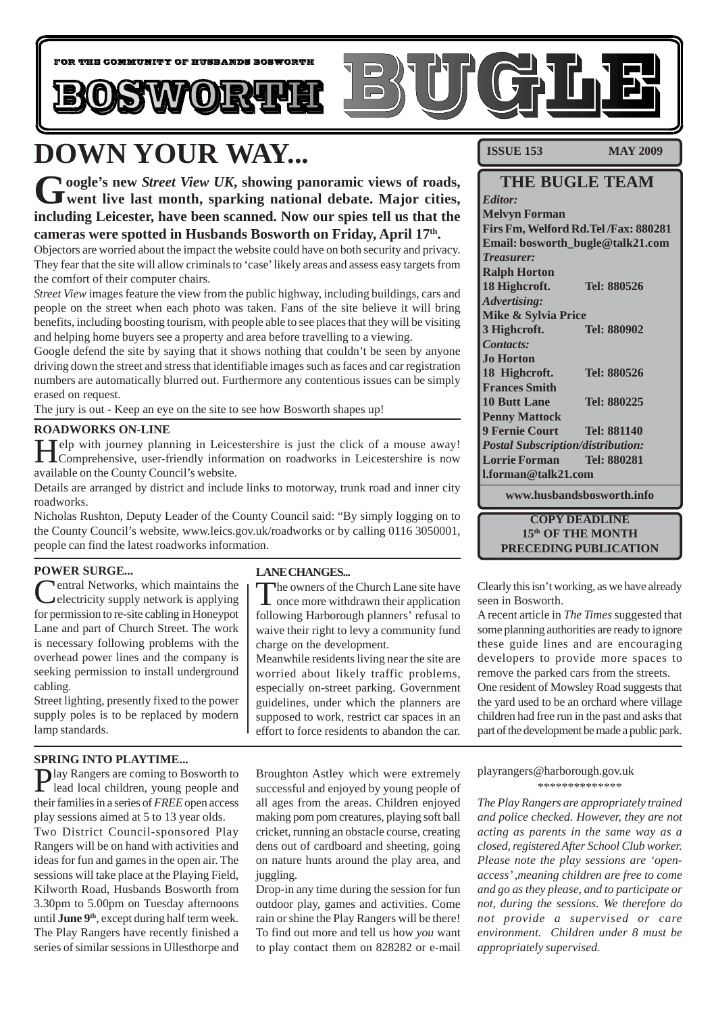

# **DOWN YOUR WAY...**

Google's new *Street View UK*, showing panoramic views of roads,<br>
went live last month, sparking national debate. Major cities, **including Leicester, have been scanned. Now our spies tell us that the cameras were spotted in Husbands Bosworth on Friday, April 17th.**

Objectors are worried about the impact the website could have on both security and privacy. They fear that the site will allow criminals to 'case' likely areas and assess easy targets from the comfort of their computer chairs.

*Street View* images feature the view from the public highway, including buildings, cars and people on the street when each photo was taken. Fans of the site believe it will bring benefits, including boosting tourism, with people able to see places that they will be visiting and helping home buyers see a property and area before travelling to a viewing.

Google defend the site by saying that it shows nothing that couldn't be seen by anyone driving down the street and stress that identifiable images such as faces and car registration numbers are automatically blurred out. Furthermore any contentious issues can be simply erased on request.

The jury is out - Keep an eye on the site to see how Bosworth shapes up!

#### **ROADWORKS ON-LINE**

Help with journey planning in Leicestershire is just the click of a mouse away! Comprehensive, user-friendly information on roadworks in Leicestershire is now available on the County Council's website.

Details are arranged by district and include links to motorway, trunk road and inner city roadworks.

Nicholas Rushton, Deputy Leader of the County Council said: "By simply logging on to the County Council's website, www.leics.gov.uk/roadworks or by calling 0116 3050001, people can find the latest roadworks information.

#### **POWER SURGE...**

Central Networks, which maintains the electricity supply network is applying for permission to re-site cabling in Honeypot Lane and part of Church Street. The work is necessary following problems with the overhead power lines and the company is seeking permission to install underground cabling.

Street lighting, presently fixed to the power supply poles is to be replaced by modern lamp standards.

#### **SPRING INTO PLAYTIME...**

Play Rangers are coming to Bosworth to lead local children, young people and their families in a series of *FREE* open access play sessions aimed at 5 to 13 year olds. Two District Council-sponsored Play Rangers will be on hand with activities and ideas for fun and games in the open air. The sessions will take place at the Playing Field, Kilworth Road, Husbands Bosworth from 3.30pm to 5.00pm on Tuesday afternoons until **June 9<sup>th</sup>**, except during half term week. The Play Rangers have recently finished a series of similar sessions in Ullesthorpe and

#### **LANE CHANGES...**

The owners of the Church Lane site have once more withdrawn their application following Harborough planners' refusal to waive their right to levy a community fund charge on the development.

Meanwhile residents living near the site are worried about likely traffic problems, especially on-street parking. Government guidelines, under which the planners are supposed to work, restrict car spaces in an effort to force residents to abandon the car.

Broughton Astley which were extremely successful and enjoyed by young people of all ages from the areas. Children enjoyed making pom pom creatures, playing soft ball cricket, running an obstacle course, creating dens out of cardboard and sheeting, going on nature hunts around the play area, and juggling.

Drop-in any time during the session for fun outdoor play, games and activities. Come rain or shine the Play Rangers will be there! To find out more and tell us how *you* want to play contact them on 828282 or e-mail

**ISSUE 153 MAY 2009** 

#### **THE BUGLE TEAM** *Editor:* **Melvyn Forman**

**Firs Fm, Welford Rd.Tel /Fax: 880281 Email: bosworth\_bugle@talk21.com** *Treasurer:* **Ralph Horton 18 Highcroft. Tel: 880526** *Advertising:* **Mike & Sylvia Price 3 Highcroft. Tel: 880902** *Contacts:* **Jo Horton 18 Highcroft. Tel: 880526 Frances Smith 10 Butt Lane Tel: 880225 Penny Mattock 9 Fernie Court Tel: 881140** *Postal Subscription/distribution:* **Lorrie Forman Tel: 880281 l.forman@talk21.com**

**www.husbandsbosworth.info**

#### **COPY DEADLINE 15th OF THE MONTH PRECEDING PUBLICATION**

Clearly this isn't working, as we have already seen in Bosworth.

A recent article in *The Times* suggested that some planning authorities are ready to ignore these guide lines and are encouraging developers to provide more spaces to remove the parked cars from the streets. One resident of Mowsley Road suggests that the yard used to be an orchard where village children had free run in the past and asks that part of the development be made a public park.

playrangers@harborough.gov.uk \*\*\*\*\*\*\*\*\*\*\*\*\*\*

*The Play Rangers are appropriately trained and police checked. However, they are not acting as parents in the same way as a closed, registered After School Club worker. Please note the play sessions are 'openaccess' ,meaning children are free to come and go as they please, and to participate or not, during the sessions. We therefore do not provide a supervised or care environment. Children under 8 must be appropriately supervised.*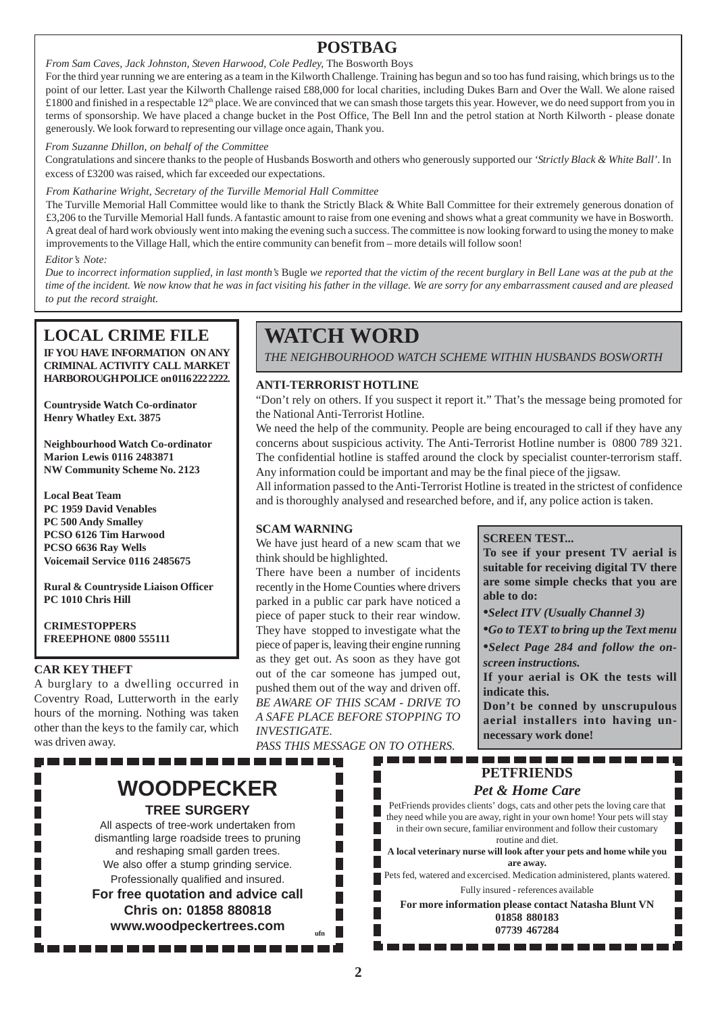### **POSTBAG**

*From Sam Caves, Jack Johnston, Steven Harwood, Cole Pedley,* The Bosworth Boys

For the third year running we are entering as a team in the Kilworth Challenge. Training has begun and so too has fund raising, which brings us to the point of our letter. Last year the Kilworth Challenge raised £88,000 for local charities, including Dukes Barn and Over the Wall. We alone raised £1800 and finished in a respectable 12<sup>th</sup> place. We are convinced that we can smash those targets this year. However, we do need support from you in terms of sponsorship. We have placed a change bucket in the Post Office, The Bell Inn and the petrol station at North Kilworth - please donate generously. We look forward to representing our village once again, Thank you.

*From Suzanne Dhillon, on behalf of the Committee*

Congratulations and sincere thanks to the people of Husbands Bosworth and others who generously supported our *'Strictly Black & White Ball'*. In excess of £3200 was raised, which far exceeded our expectations.

#### *From Katharine Wright, Secretary of the Turville Memorial Hall Committee*

The Turville Memorial Hall Committee would like to thank the Strictly Black & White Ball Committee for their extremely generous donation of £3,206 to the Turville Memorial Hall funds. A fantastic amount to raise from one evening and shows what a great community we have in Bosworth. A great deal of hard work obviously went into making the evening such a success. The committee is now looking forward to using the money to make improvements to the Village Hall, which the entire community can benefit from – more details will follow soon!

#### *Editor's Note:*

*Due to incorrect information supplied, in last month's* Bugle *we reported that the victim of the recent burglary in Bell Lane was at the pub at the time of the incident. We now know that he was in fact visiting his father in the village. We are sorry for any embarrassment caused and are pleased to put the record straight.*

### **LOCAL CRIME FILE**

**IF YOU HAVE INFORMATION ON ANY CRIMINAL ACTIVITY CALL MARKET HARBOROUGH POLICE on 0116 222 2222.**

**Countryside Watch Co-ordinator Henry Whatley Ext. 3875**

**Neighbourhood Watch Co-ordinator Marion Lewis 0116 2483871 NW Community Scheme No. 2123**

**Local Beat Team PC 1959 David Venables PC 500 Andy Smalley PCSO 6126 Tim Harwood PCSO 6636 Ray Wells Voicemail Service 0116 2485675**

**Rural & Countryside Liaison Officer PC 1010 Chris Hill**

**CRIMESTOPPERS FREEPHONE 0800 555111**

#### **CAR KEY THEFT**

A burglary to a dwelling occurred in Coventry Road, Lutterworth in the early hours of the morning. Nothing was taken other than the keys to the family car, which was driven away.

## **WATCH WORD**

*THE NEIGHBOURHOOD WATCH SCHEME WITHIN HUSBANDS BOSWORTH*

#### **ANTI-TERRORIST HOTLINE**

"Don't rely on others. If you suspect it report it." That's the message being promoted for the National Anti-Terrorist Hotline.

We need the help of the community. People are being encouraged to call if they have any concerns about suspicious activity. The Anti-Terrorist Hotline number is 0800 789 321. The confidential hotline is staffed around the clock by specialist counter-terrorism staff. Any information could be important and may be the final piece of the jigsaw.

All information passed to the Anti-Terrorist Hotline is treated in the strictest of confidence and is thoroughly analysed and researched before, and if, any police action is taken.

#### **SCAM WARNING**

We have just heard of a new scam that we think should be highlighted.

There have been a number of incidents recently in the Home Counties where drivers parked in a public car park have noticed a piece of paper stuck to their rear window. They have stopped to investigate what the piece of paper is, leaving their engine running as they get out. As soon as they have got out of the car someone has jumped out, pushed them out of the way and driven off. *BE AWARE OF THIS SCAM - DRIVE TO A SAFE PLACE BEFORE STOPPING TO INVESTIGATE.*

*PASS THIS MESSAGE ON TO OTHERS.*

H

Г

г

**SCREEN TEST...**

**To see if your present TV aerial is suitable for receiving digital TV there are some simple checks that you are able to do:**

*•Select ITV (Usually Channel 3)*

*•Go to TEXT to bring up the Text menu •Select Page 284 and follow the on-*

*screen instructions.*

**If your aerial is OK the tests will indicate this.**

**Don't be conned by unscrupulous aerial installers into having unnecessary work done!**

#### ---------------**PETFRIENDS** *Pet & Home Care*

PetFriends provides clients' dogs, cats and other pets the loving care that they need while you are away, right in your own home! Your pets will stay in their own secure, familiar environment and follow their customary routine and diet.

**A local veterinary nurse will look after your pets and home while you are away.**

Pets fed, watered and excercised. Medication administered, plants watered. Fully insured - references available

**For more information please contact Natasha Blunt VN 01858 880183 07739 467284**

# **WOODPECKER**

--------

All aspects of tree-work undertaken from dismantling large roadside trees to pruning and reshaping small garden trees. We also offer a stump grinding service. Professionally qualified and insured. **For free quotation and advice call Chris on: 01858 880818 www.woodpeckertrees.com ufn**

**TREE SURGERY**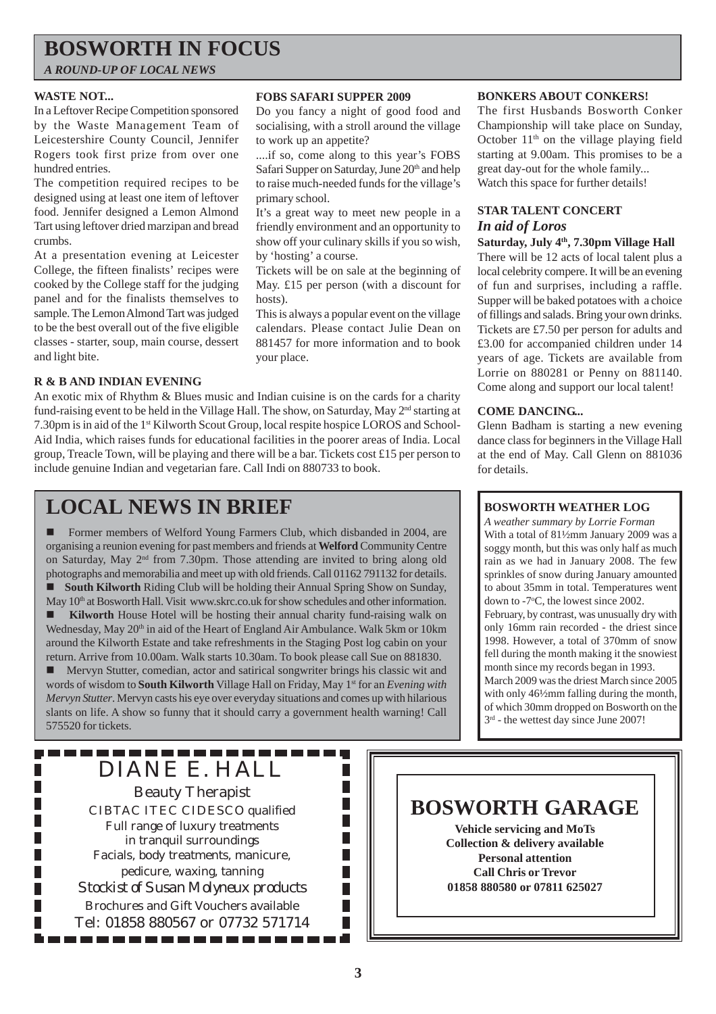## **BOSWORTH IN FOCUS**

*A ROUND-UP OF LOCAL NEWS*

#### **WASTE NOT...**

In a Leftover Recipe Competition sponsored by the Waste Management Team of Leicestershire County Council, Jennifer Rogers took first prize from over one hundred entries.

The competition required recipes to be designed using at least one item of leftover food. Jennifer designed a Lemon Almond Tart using leftover dried marzipan and bread crumbs.

At a presentation evening at Leicester College, the fifteen finalists' recipes were cooked by the College staff for the judging panel and for the finalists themselves to sample. The Lemon Almond Tart was judged to be the best overall out of the five eligible classes - starter, soup, main course, dessert and light bite.

#### **R & B AND INDIAN EVENING**

#### An exotic mix of Rhythm & Blues music and Indian cuisine is on the cards for a charity fund-raising event to be held in the Village Hall. The show, on Saturday, May 2<sup>nd</sup> starting at 7.30pm is in aid of the 1st Kilworth Scout Group, local respite hospice LOROS and School-Aid India, which raises funds for educational facilities in the poorer areas of India. Local group, Treacle Town, will be playing and there will be a bar. Tickets cost £15 per person to include genuine Indian and vegetarian fare. Call Indi on 880733 to book.

## **LOCAL NEWS IN BRIEF**

! Former members of Welford Young Farmers Club, which disbanded in 2004, are organising a reunion evening for past members and friends at **Welford** Community Centre on Saturday, May 2nd from 7.30pm. Those attending are invited to bring along old photographs and memorabilia and meet up with old friends. Call 01162 791132 for details. ! **South Kilworth** Riding Club will be holding their Annual Spring Show on Sunday, May  $10<sup>th</sup>$  at Bosworth Hall. Visit www.skrc.co.uk for show schedules and other information.

**Kilworth** House Hotel will be hosting their annual charity fund-raising walk on Wednesday, May 20<sup>th</sup> in aid of the Heart of England Air Ambulance. Walk 5km or 10km around the Kilworth Estate and take refreshments in the Staging Post log cabin on your return. Arrive from 10.00am. Walk starts 10.30am. To book please call Sue on 881830.

! Mervyn Stutter, comedian, actor and satirical songwriter brings his classic wit and words of wisdom to **South Kilworth** Village Hall on Friday, May 1st for an *Evening with Mervyn Stutter*. Mervyn casts his eye over everyday situations and comes up with hilarious slants on life. A show so funny that it should carry a government health warning! Call 575520 for tickets.

### . . . . . . . . . . . . . . . . . . DIANE E. HALL

Г

Г

Beauty Therapist CIBTAC ITEC CIDESCO qualified Full range of luxury treatments in tranquil surroundings Facials, body treatments, manicure, pedicure, waxing, tanning *Stockist of Susan Molyneux products* Brochures and Gift Vouchers available Tel: 01858 880567 or 07732 571714 . . . . . . . . . . . . . .

#### **FOBS SAFARI SUPPER 2009**

Do you fancy a night of good food and socialising, with a stroll around the village to work up an appetite?

....if so, come along to this year's FOBS Safari Supper on Saturday, June 20<sup>th</sup> and help to raise much-needed funds for the village's primary school.

It's a great way to meet new people in a friendly environment and an opportunity to show off your culinary skills if you so wish, by 'hosting' a course.

Tickets will be on sale at the beginning of May. £15 per person (with a discount for hosts).

This is always a popular event on the village calendars. Please contact Julie Dean on 881457 for more information and to book your place.

#### **BONKERS ABOUT CONKERS!**

The first Husbands Bosworth Conker Championship will take place on Sunday, October  $11<sup>th</sup>$  on the village playing field starting at 9.00am. This promises to be a great day-out for the whole family... Watch this space for further details!

### **STAR TALENT CONCERT** *In aid of Loros*

#### Saturday, July <sup>4th</sup>, 7.30pm Village Hall

There will be 12 acts of local talent plus a local celebrity compere. It will be an evening of fun and surprises, including a raffle. Supper will be baked potatoes with a choice of fillings and salads. Bring your own drinks. Tickets are £7.50 per person for adults and £3.00 for accompanied children under 14 years of age. Tickets are available from Lorrie on 880281 or Penny on 881140. Come along and support our local talent!

#### **COME DANCING...**

Glenn Badham is starting a new evening dance class for beginners in the Village Hall at the end of May. Call Glenn on 881036 for details.

#### **BOSWORTH WEATHER LOG**

*A weather summary by Lorrie Forman* With a total of 81½mm January 2009 was a soggy month, but this was only half as much rain as we had in January 2008. The few sprinkles of snow during January amounted to about 35mm in total. Temperatures went down to -7°C, the lowest since 2002. February, by contrast, was unusually dry with only 16mm rain recorded - the driest since 1998. However, a total of 370mm of snow fell during the month making it the snowiest month since my records began in 1993. March 2009 was the driest March since 2005 with only  $46\frac{1}{2}$ mm falling during the month, of which 30mm dropped on Bosworth on the  $3<sup>rd</sup>$  - the wettest day since June 2007!

## **BOSWORTH GARAGE**

**Vehicle servicing and MoTs Collection & delivery available Personal attention Call Chris or Trevor 01858 880580 or 07811 625027**

П П П

П П П Г

П П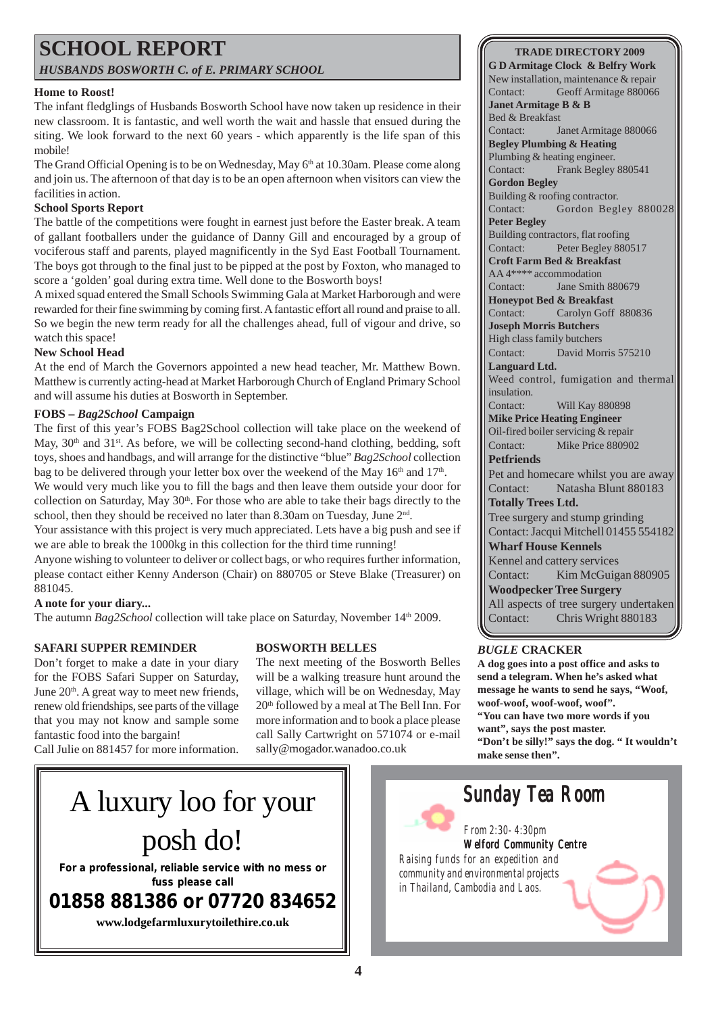# **SCHOOL REPORT**

*HUSBANDS BOSWORTH C. of E. PRIMARY SCHOOL*

#### **Home to Roost!**

The infant fledglings of Husbands Bosworth School have now taken up residence in their new classroom. It is fantastic, and well worth the wait and hassle that ensued during the siting. We look forward to the next 60 years - which apparently is the life span of this mobile!

The Grand Official Opening is to be on Wednesday, May 6<sup>th</sup> at 10.30am. Please come along and join us. The afternoon of that day is to be an open afternoon when visitors can view the facilities in action.

#### **School Sports Report**

The battle of the competitions were fought in earnest just before the Easter break. A team of gallant footballers under the guidance of Danny Gill and encouraged by a group of vociferous staff and parents, played magnificently in the Syd East Football Tournament. The boys got through to the final just to be pipped at the post by Foxton, who managed to score a 'golden' goal during extra time. Well done to the Bosworth boys!

A mixed squad entered the Small Schools Swimming Gala at Market Harborough and were rewarded for their fine swimming by coming first. A fantastic effort all round and praise to all. So we begin the new term ready for all the challenges ahead, full of vigour and drive, so watch this space!

#### **New School Head**

At the end of March the Governors appointed a new head teacher, Mr. Matthew Bown. Matthew is currently acting-head at Market Harborough Church of England Primary School and will assume his duties at Bosworth in September.

#### **FOBS –** *Bag2School* **Campaign**

The first of this year's FOBS Bag2School collection will take place on the weekend of May,  $30<sup>th</sup>$  and  $31<sup>st</sup>$ . As before, we will be collecting second-hand clothing, bedding, soft toys, shoes and handbags, and will arrange for the distinctive "blue" *Bag2School* collection bag to be delivered through your letter box over the weekend of the May  $16<sup>th</sup>$  and  $17<sup>th</sup>$ .

We would very much like you to fill the bags and then leave them outside your door for collection on Saturday, May  $30<sup>th</sup>$ . For those who are able to take their bags directly to the school, then they should be received no later than 8.30am on Tuesday, June 2<sup>nd</sup>.

Your assistance with this project is very much appreciated. Lets have a big push and see if we are able to break the 1000kg in this collection for the third time running!

Anyone wishing to volunteer to deliver or collect bags, or who requires further information, please contact either Kenny Anderson (Chair) on 880705 or Steve Blake (Treasurer) on 881045.

#### **A note for your diary...**

The autumn *Bag2School* collection will take place on Saturday, November 14<sup>th</sup> 2009.

#### **SAFARI SUPPER REMINDER**

Don't forget to make a date in your diary for the FOBS Safari Supper on Saturday, June  $20<sup>th</sup>$ . A great way to meet new friends, renew old friendships, see parts of the village that you may not know and sample some fantastic food into the bargain! Call Julie on 881457 for more information.

#### **BOSWORTH BELLES**

The next meeting of the Bosworth Belles will be a walking treasure hunt around the village, which will be on Wednesday, May 20<sup>th</sup> followed by a meal at The Bell Inn. For more information and to book a place please call Sally Cartwright on 571074 or e-mail sally@mogador.wanadoo.co.uk

## **G D Armitage Clock & Belfry Work**

**TRADE DIRECTORY 2009**

New installation, maintenance & repair Contact: Geoff Armitage 880066 **Janet Armitage B & B** Bed & Breakfast Contact: Janet Armitage 880066 **Begley Plumbing & Heating** Plumbing & heating engineer. Contact: Frank Begley 880541 **Gordon Begley** Building & roofing contractor. Contact: Gordon Begley 880028 **Peter Begley** Building contractors, flat roofing Contact: Peter Begley 880517 **Croft Farm Bed & Breakfast** AA 4\*\*\*\* accommodation Contact: Jane Smith 880679 **Honeypot Bed & Breakfast** Contact: Carolyn Goff 880836 **Joseph Morris Butchers** High class family butchers Contact: David Morris 575210 **Languard Ltd.** Weed control, fumigation and thermal insulation. Contact: Will Kay 880898 **Mike Price Heating Engineer** Oil-fired boiler servicing & repair Contact: Mike Price 880902 **Petfriends** Pet and homecare whilst you are away Contact: Natasha Blunt 880183 **Totally Trees Ltd.** Tree surgery and stump grinding Contact: Jacqui Mitchell 01455 554182 **Wharf House Kennels** Kennel and cattery services Contact: Kim McGuigan 880905 **Woodpecker Tree Surgery** All aspects of tree surgery undertaken Contact: Chris Wright 880183

#### *BUGLE* **CRACKER**

**A dog goes into a post office and asks to send a telegram. When he's asked what message he wants to send he says, "Woof, woof-woof, woof-woof, woof". "You can have two more words if you want", says the post master. "Don't be silly!" says the dog. " It wouldn't make sense then".**



**fuss please call**

**01858 881386 or 07720 834652**

**www.lodgefarmluxurytoilethire.co.uk**

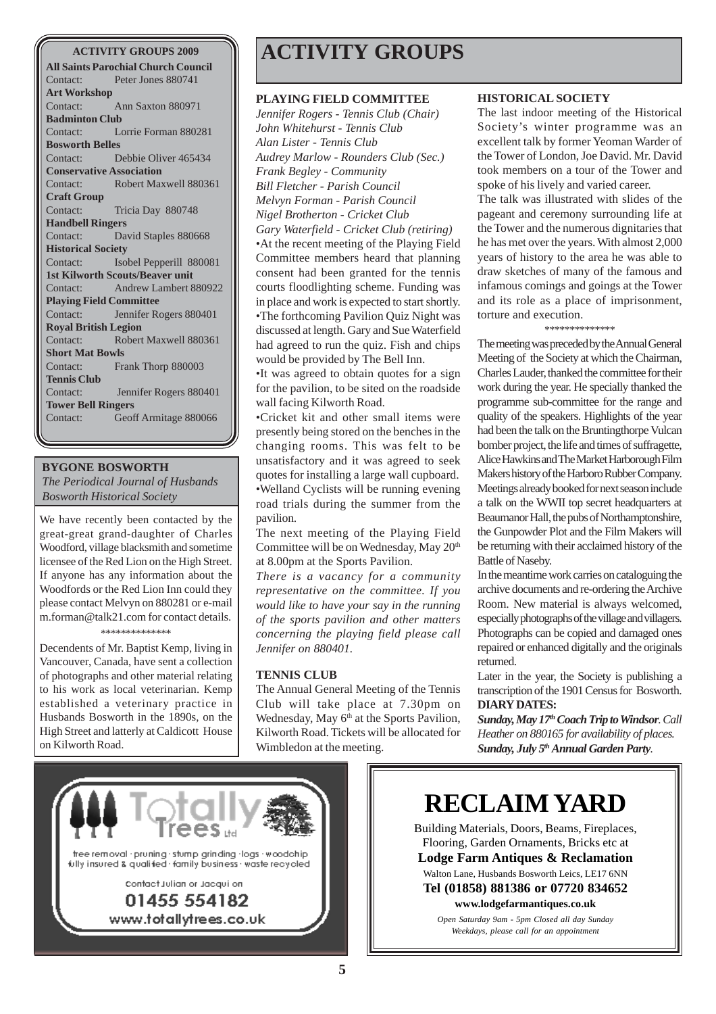#### **ACTIVITY GROUPS 2009**

**All Saints Parochial Church Council** Contact: Peter Jones 880741 **Art Workshop** Contact: Ann Saxton 880971 **Badminton Club** Contact: Lorrie Forman 880281 **Bosworth Belles** Contact: Debbie Oliver 465434 **Conservative Association** Contact: Robert Maxwell 880361 **Craft Group** Contact: Tricia Day 880748 **Handbell Ringers** Contact: David Staples 880668 **Historical Society** Contact: Isobel Pepperill 880081 **1st Kilworth Scouts/Beaver unit** Contact: Andrew Lambert 880922 **Playing Field Committee** Contact: Jennifer Rogers 880401 **Royal British Legion** Contact: Robert Maxwell 880361 **Short Mat Bowls** Contact: Frank Thorp 880003 **Tennis Club** Contact: Jennifer Rogers 880401 **Tower Bell Ringers** Contact: Geoff Armitage 880066

#### **BYGONE BOSWORTH**

*The Periodical Journal of Husbands Bosworth Historical Society*

We have recently been contacted by the great-great grand-daughter of Charles Woodford, village blacksmith and sometime licensee of the Red Lion on the High Street. If anyone has any information about the Woodfords or the Red Lion Inn could they please contact Melvyn on 880281 or e-mail m.forman@talk21.com for contact details. \*\*\*\*\*\*\*\*\*\*\*\*\*\*

Decendents of Mr. Baptist Kemp, living in Vancouver, Canada, have sent a collection of photographs and other material relating to his work as local veterinarian. Kemp established a veterinary practice in Husbands Bosworth in the 1890s, on the High Street and latterly at Caldicott House on Kilworth Road.

## **ACTIVITY GROUPS**

#### **PLAYING FIELD COMMITTEE**

*Jennifer Rogers - Tennis Club (Chair) John Whitehurst - Tennis Club Alan Lister - Tennis Club Audrey Marlow - Rounders Club (Sec.) Frank Begley - Community Bill Fletcher - Parish Council Melvyn Forman - Parish Council Nigel Brotherton - Cricket Club Gary Waterfield - Cricket Club (retiring)* •At the recent meeting of the Playing Field Committee members heard that planning consent had been granted for the tennis courts floodlighting scheme. Funding was in place and work is expected to start shortly. •The forthcoming Pavilion Quiz Night was discussed at length. Gary and Sue Waterfield had agreed to run the quiz. Fish and chips would be provided by The Bell Inn.

•It was agreed to obtain quotes for a sign for the pavilion, to be sited on the roadside wall facing Kilworth Road.

•Cricket kit and other small items were presently being stored on the benches in the changing rooms. This was felt to be unsatisfactory and it was agreed to seek quotes for installing a large wall cupboard. •Welland Cyclists will be running evening road trials during the summer from the pavilion.

The next meeting of the Playing Field Committee will be on Wednesday, May 20<sup>th</sup> at 8.00pm at the Sports Pavilion.

*There is a vacancy for a community representative on the committee. If you would like to have your say in the running of the sports pavilion and other matters concerning the playing field please call Jennifer on 880401.*

#### **TENNIS CLUB**

The Annual General Meeting of the Tennis Club will take place at 7.30pm on Wednesday, May 6<sup>th</sup> at the Sports Pavilion, Kilworth Road. Tickets will be allocated for Wimbledon at the meeting.

#### **HISTORICAL SOCIETY**

The last indoor meeting of the Historical Society's winter programme was an excellent talk by former Yeoman Warder of the Tower of London, Joe David. Mr. David took members on a tour of the Tower and spoke of his lively and varied career.

The talk was illustrated with slides of the pageant and ceremony surrounding life at the Tower and the numerous dignitaries that he has met over the years. With almost 2,000 years of history to the area he was able to draw sketches of many of the famous and infamous comings and goings at the Tower and its role as a place of imprisonment, torture and execution.

#### \*\*\*\*\*\*\*\*\*\*\*\*\*\*

The meeting was preceded by the Annual General Meeting of the Society at which the Chairman, Charles Lauder, thanked the committee for their work during the year. He specially thanked the programme sub-committee for the range and quality of the speakers. Highlights of the year had been the talk on the Bruntingthorpe Vulcan bomber project, the life and times of suffragette, Alice Hawkins and The Market Harborough Film Makers history of the Harboro Rubber Company. Meetings already booked for next season include a talk on the WWII top secret headquarters at Beaumanor Hall, the pubs of Northamptonshire, the Gunpowder Plot and the Film Makers will be returning with their acclaimed history of the Battle of Naseby.

In the meantime work carries on cataloguing the archive documents and re-ordering the Archive Room. New material is always welcomed, especially photographs of the village and villagers. Photographs can be copied and damaged ones repaired or enhanced digitally and the originals returned.

Later in the year, the Society is publishing a transcription of the 1901 Census for Bosworth. **DIARY DATES:**

*Sunday, May 17th Coach Trip to Windsor. Call Heather on 880165 for availability of places. Sunday, July 5th Annual Garden Party.*



## **RECLAIM YARD**

Building Materials, Doors, Beams, Fireplaces, Flooring, Garden Ornaments, Bricks etc at **Lodge Farm Antiques & Reclamation** Walton Lane, Husbands Bosworth Leics, LE17 6NN **Tel (01858) 881386 or 07720 834652 www.lodgefarmantiques.co.uk**

> *Open Saturday 9am - 5pm Closed all day Sunday Weekdays, please call for an appointment*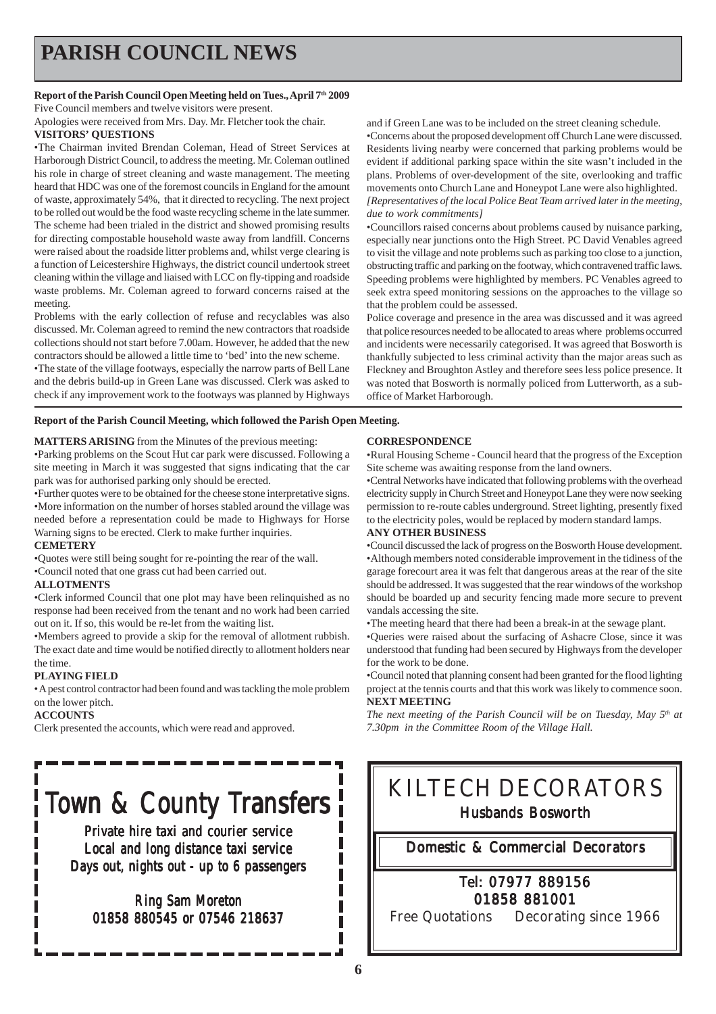## **PARISH COUNCIL NEWS**

#### Report of the Parish Council Open Meeting held on Tues., April 7<sup>th</sup> 2009

Five Council members and twelve visitors were present.

Apologies were received from Mrs. Day. Mr. Fletcher took the chair. **VISITORS' QUESTIONS**

#### •The Chairman invited Brendan Coleman, Head of Street Services at Harborough District Council, to address the meeting. Mr. Coleman outlined his role in charge of street cleaning and waste management. The meeting heard that HDC was one of the foremost councils in England for the amount of waste, approximately 54%, that it directed to recycling. The next project to be rolled out would be the food waste recycling scheme in the late summer. The scheme had been trialed in the district and showed promising results for directing compostable household waste away from landfill. Concerns were raised about the roadside litter problems and, whilst verge clearing is a function of Leicestershire Highways, the district council undertook street cleaning within the village and liaised with LCC on fly-tipping and roadside waste problems. Mr. Coleman agreed to forward concerns raised at the meeting.

Problems with the early collection of refuse and recyclables was also discussed. Mr. Coleman agreed to remind the new contractors that roadside collections should not start before 7.00am. However, he added that the new contractors should be allowed a little time to 'bed' into the new scheme.

•The state of the village footways, especially the narrow parts of Bell Lane and the debris build-up in Green Lane was discussed. Clerk was asked to check if any improvement work to the footways was planned by Highways

**Report of the Parish Council Meeting, which followed the Parish Open Meeting.**

#### **MATTERS ARISING** from the Minutes of the previous meeting:

•Parking problems on the Scout Hut car park were discussed. Following a site meeting in March it was suggested that signs indicating that the car park was for authorised parking only should be erected.

•Further quotes were to be obtained for the cheese stone interpretative signs. •More information on the number of horses stabled around the village was needed before a representation could be made to Highways for Horse Warning signs to be erected. Clerk to make further inquiries.

#### **CEMETERY**

•Quotes were still being sought for re-pointing the rear of the wall. •Council noted that one grass cut had been carried out.

#### **ALLOTMENTS**

•Clerk informed Council that one plot may have been relinquished as no response had been received from the tenant and no work had been carried out on it. If so, this would be re-let from the waiting list.

•Members agreed to provide a skip for the removal of allotment rubbish. The exact date and time would be notified directly to allotment holders near the time.

#### **PLAYING FIELD**

• A pest control contractor had been found and was tackling the mole problem on the lower pitch.

#### **ACCOUNTS**

Clerk presented the accounts, which were read and approved.

# Town & County Transfers

Private hire taxi and courier service Local and long distance taxi service Days out, nights out - up to 6 passengers

### Ring Sam Moreton 01858 880545 or 07546 218637

and if Green Lane was to be included on the street cleaning schedule.

•Concerns about the proposed development off Church Lane were discussed. Residents living nearby were concerned that parking problems would be evident if additional parking space within the site wasn't included in the plans. Problems of over-development of the site, overlooking and traffic movements onto Church Lane and Honeypot Lane were also highlighted. *[Representatives of the local Police Beat Team arrived later in the meeting, due to work commitments]*

•Councillors raised concerns about problems caused by nuisance parking, especially near junctions onto the High Street. PC David Venables agreed to visit the village and note problems such as parking too close to a junction, obstructing traffic and parking on the footway, which contravened traffic laws. Speeding problems were highlighted by members. PC Venables agreed to seek extra speed monitoring sessions on the approaches to the village so that the problem could be assessed.

Police coverage and presence in the area was discussed and it was agreed that police resources needed to be allocated to areas where problems occurred and incidents were necessarily categorised. It was agreed that Bosworth is thankfully subjected to less criminal activity than the major areas such as Fleckney and Broughton Astley and therefore sees less police presence. It was noted that Bosworth is normally policed from Lutterworth, as a suboffice of Market Harborough.

#### **CORRESPONDENCE**

•Rural Housing Scheme - Council heard that the progress of the Exception Site scheme was awaiting response from the land owners.

•Central Networks have indicated that following problems with the overhead electricity supply in Church Street and Honeypot Lane they were now seeking permission to re-route cables underground. Street lighting, presently fixed to the electricity poles, would be replaced by modern standard lamps.

#### **ANY OTHER BUSINESS**

•Council discussed the lack of progress on the Bosworth House development. •Although members noted considerable improvement in the tidiness of the garage forecourt area it was felt that dangerous areas at the rear of the site should be addressed. It was suggested that the rear windows of the workshop should be boarded up and security fencing made more secure to prevent vandals accessing the site.

•The meeting heard that there had been a break-in at the sewage plant.

•Queries were raised about the surfacing of Ashacre Close, since it was understood that funding had been secured by Highways from the developer for the work to be done.

•Council noted that planning consent had been granted for the flood lighting project at the tennis courts and that this work was likely to commence soon. **NEXT MEETING**

*The next meeting of the Parish Council will be on Tuesday, May 5th at 7.30pm in the Committee Room of the Village Hall.*

## KILTECH DECORATORS Husbands Bosworth

#### Domestic & Commercial Decorators

### Tel: 07977 889156 01858 881001

Free Quotations Decorating since 1966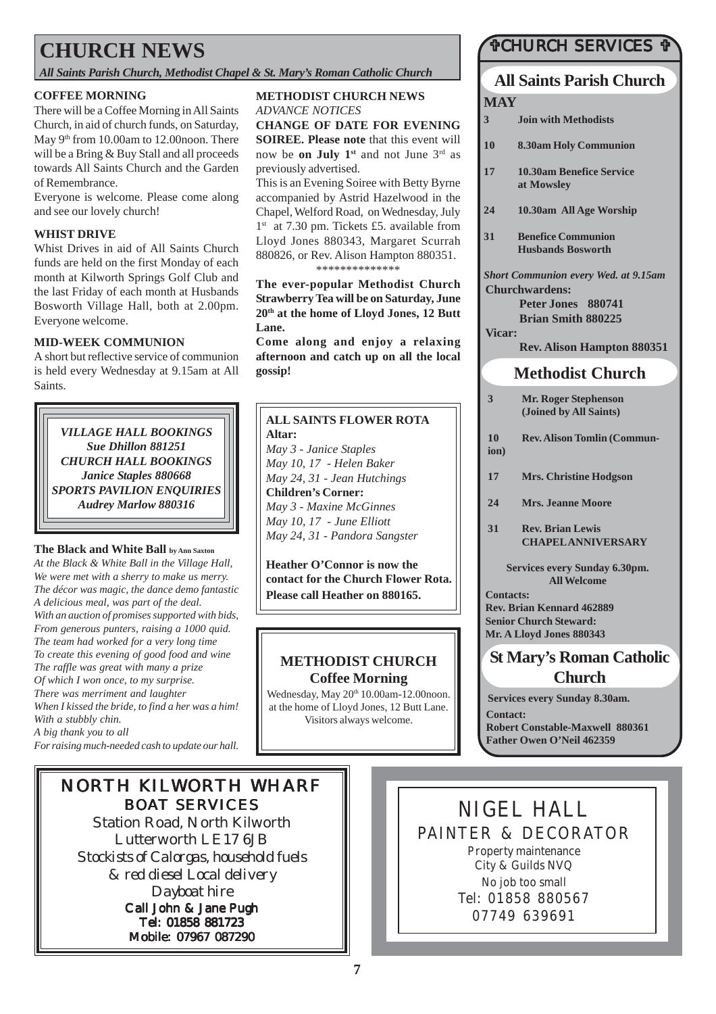## **CHURCH NEWS**

*All Saints Parish Church, Methodist Chapel & St. Mary's Roman Catholic Church*

#### **COFFEE MORNING**

There will be a Coffee Morning in All Saints Church, in aid of church funds, on Saturday, May 9<sup>th</sup> from 10.00am to 12.00noon. There will be a Bring & Buy Stall and all proceeds towards All Saints Church and the Garden of Remembrance.

Everyone is welcome. Please come along and see our lovely church!

#### **WHIST DRIVE**

Whist Drives in aid of All Saints Church funds are held on the first Monday of each month at Kilworth Springs Golf Club and the last Friday of each month at Husbands Bosworth Village Hall, both at 2.00pm. Everyone welcome.

#### **MID-WEEK COMMUNION**

A short but reflective service of communion is held every Wednesday at 9.15am at All Saints.

*VILLAGE HALL BOOKINGS Sue Dhillon 881251 CHURCH HALL BOOKINGS Janice Staples 880668 SPORTS PAVILION ENQUIRIES Audrey Marlow 880316*

#### **The Black and White Ball by Ann Saxton**

*At the Black & White Ball in the Village Hall, We were met with a sherry to make us merry. The décor was magic, the dance demo fantastic A delicious meal, was part of the deal. With an auction of promises supported with bids, From generous punters, raising a 1000 quid. The team had worked for a very long time To create this evening of good food and wine The raffle was great with many a prize Of which I won once, to my surprise. There was merriment and laughter When I kissed the bride, to find a her was a him! With a stubbly chin. A big thank you to all For raising much-needed cash to update our hall.*

### **METHODIST CHURCH NEWS**

*ADVANCE NOTICES* **CHANGE OF DATE FOR EVENING SOIREE. Please note** that this event will now be **on July 1st** and not June 3rd as

previously advertised.

This is an Evening Soiree with Betty Byrne accompanied by Astrid Hazelwood in the Chapel, Welford Road, on Wednesday, July 1<sup>st</sup> at 7.30 pm. Tickets £5. available from Lloyd Jones 880343, Margaret Scurrah 880826, or Rev. Alison Hampton 880351. \*\*\*\*\*\*\*\*\*\*\*\*\*\*

**The ever-popular Methodist Church Strawberry Tea will be on Saturday, June 20th at the home of Lloyd Jones, 12 Butt Lane.**

**Come along and enjoy a relaxing afternoon and catch up on all the local gossip!**

### **ALL SAINTS FLOWER ROTA**

**Altar:** *May 3 - Janice Staples May 10, 17 - Helen Baker May 24, 31 - Jean Hutchings* **Children's Corner:** *May 3 - Maxine McGinnes May 10, 17 - June Elliott May 24, 31 - Pandora Sangster*

**Heather O'Connor is now the contact for the Church Flower Rota. Please call Heather on 880165.**

### **METHODIST CHURCH Coffee Morning**

Wednesday, May 20<sup>th</sup> 10.00am-12.00noon. at the home of Lloyd Jones, 12 Butt Lane. Visitors always welcome.

### #CHURCH SERVICES #

## **All Saints Parish Church**

| MAY                                         |                                                       |
|---------------------------------------------|-------------------------------------------------------|
| 3                                           | <b>Join with Methodists</b>                           |
| 10                                          | <b>8.30am Holy Communion</b>                          |
| 17                                          | <b>10.30am Benefice Service</b><br>at Mowsley         |
| 24                                          | 10.30am All Age Worship                               |
| 31                                          | <b>Benefice Communion</b><br><b>Husbands Bosworth</b> |
| <b>Short Communion every Wed. at 9.15am</b> |                                                       |
| <b>Churchwardens:</b>                       |                                                       |
|                                             | Peter Jones 880741                                    |
|                                             | <b>Brian Smith 880225</b>                             |
| <b>Vicar:</b>                               |                                                       |
|                                             | <b>Rev. Alison Hampton 880351</b>                     |
|                                             | <b>Methodist Church</b>                               |
| 3                                           | <b>Mr. Roger Stephenson</b>                           |

- **(Joined by All Saints)**
- **10 Rev. Alison Tomlin (Communion)**
	-
- **17 Mrs. Christine Hodgson**
- **24 Mrs. Jeanne Moore**
- **31 Rev. Brian Lewis CHAPEL ANNIVERSARY**

**Services every Sunday 6.30pm. All Welcome**

**Contacts: Rev. Brian Kennard 462889 Senior Church Steward: Mr. A Lloyd Jones 880343**

### **St Mary's Roman Catholic Church**

**Services every Sunday 8.30am. Contact: Robert Constable-Maxwell 880361 Father Owen O'Neil 462359**

## NORTH KILWORTH WHARF BOAT SERVICES

Station Road, North Kilworth Lutterworth LE17 6JB *Stockists of Calorgas, household fuels & red diesel Local delivery Dayboat hire* Call John & Jane Pugh Tel: 01858 881723 Mobile: 07967 087290

NIGEL HALL PAINTER & DECORATOR Property maintenance City & Guilds NVQ No job too small Tel: 01858 880567 07749 639691